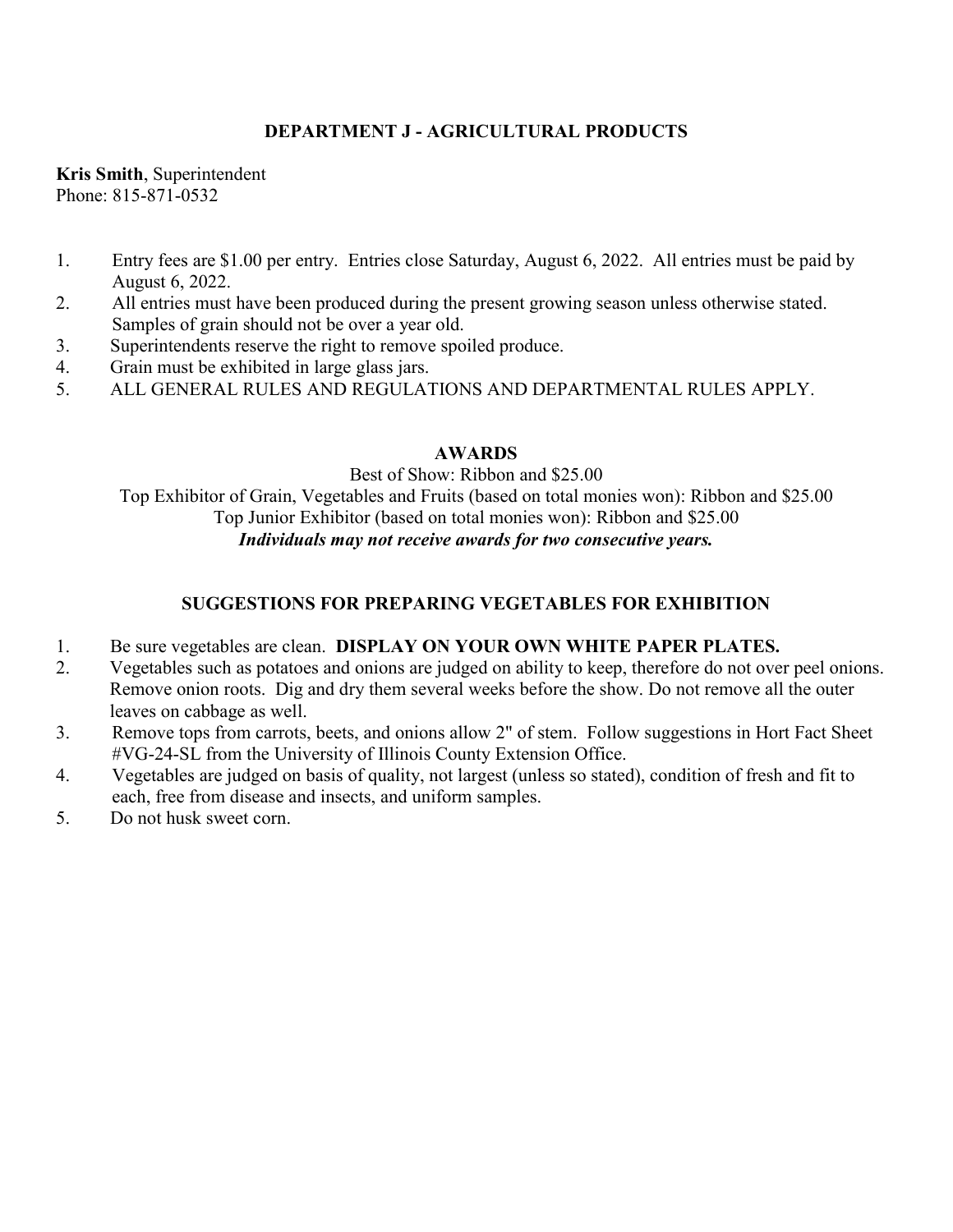# **DEPARTMENT J - AGRICULTURAL PRODUCTS**

**Kris Smith**, Superintendent Phone: 815-871-0532

- 1. Entry fees are \$1.00 per entry. Entries close Saturday, August 6, 2022. All entries must be paid by August 6, 2022.
- 2. All entries must have been produced during the present growing season unless otherwise stated. Samples of grain should not be over a year old.
- 3. Superintendents reserve the right to remove spoiled produce.
- 4. Grain must be exhibited in large glass jars.
- 5. ALL GENERAL RULES AND REGULATIONS AND DEPARTMENTAL RULES APPLY.

## **AWARDS**

Best of Show: Ribbon and \$25.00 Top Exhibitor of Grain, Vegetables and Fruits (based on total monies won): Ribbon and \$25.00 Top Junior Exhibitor (based on total monies won): Ribbon and \$25.00 *Individuals may not receive awards for two consecutive years.*

## **SUGGESTIONS FOR PREPARING VEGETABLES FOR EXHIBITION**

- 1. Be sure vegetables are clean. **DISPLAY ON YOUR OWN WHITE PAPER PLATES.**
- 2. Vegetables such as potatoes and onions are judged on ability to keep, therefore do not over peel onions. Remove onion roots. Dig and dry them several weeks before the show. Do not remove all the outer leaves on cabbage as well.
- 3. Remove tops from carrots, beets, and onions allow 2" of stem. Follow suggestions in Hort Fact Sheet #VG-24-SL from the University of Illinois County Extension Office.
- 4. Vegetables are judged on basis of quality, not largest (unless so stated), condition of fresh and fit to each, free from disease and insects, and uniform samples.
- 5. Do not husk sweet corn.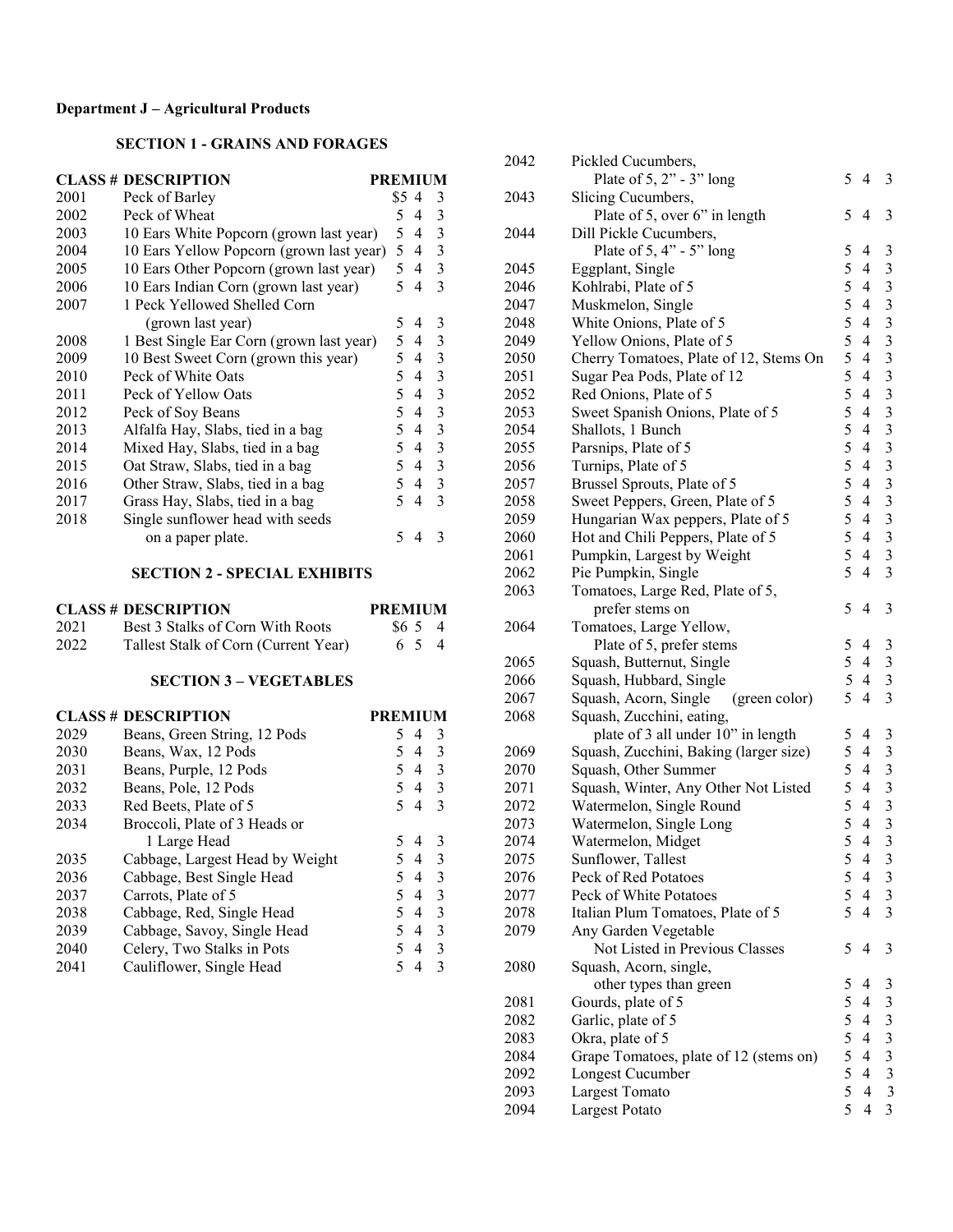# **Department J – Agricultural Products**

### **SECTION 1 - GRAINS AND FORAGES**

|      | <b>CLASS # DESCRIPTION</b>               | <b>PREMIUM</b> |      |                |   |
|------|------------------------------------------|----------------|------|----------------|---|
| 2001 | Peck of Barley                           |                | \$54 |                | 3 |
| 2002 | Peck of Wheat                            |                | 5.   | 4              | 3 |
| 2003 | 10 Ears White Popcorn (grown last year)  |                | 5    | $\overline{4}$ | 3 |
| 2004 | 10 Ears Yellow Popcorn (grown last year) |                | 5    | $\overline{4}$ | 3 |
| 2005 | 10 Ears Other Popcorn (grown last year)  |                | 5    | $\overline{4}$ | 3 |
| 2006 | 10 Ears Indian Corn (grown last year)    |                | 5    | $\overline{4}$ | 3 |
| 2007 | 1 Peck Yellowed Shelled Corn             |                |      |                |   |
|      | (grown last year)                        |                | 5    | 4              | 3 |
| 2008 | 1 Best Single Ear Corn (grown last year) |                | 5    | -4             | 3 |
| 2009 | 10 Best Sweet Corn (grown this year)     |                | 5.   | -4             | 3 |
| 2010 | Peck of White Oats                       |                | 5.   | 4              | 3 |
| 2011 | Peck of Yellow Oats                      |                | 5    | $\overline{4}$ | 3 |
| 2012 | Peck of Soy Beans                        |                | 5.   | 4              | 3 |
| 2013 | Alfalfa Hay, Slabs, tied in a bag        |                | 5    | $\overline{4}$ | 3 |
| 2014 | Mixed Hay, Slabs, tied in a bag          |                | 5    | $\overline{4}$ | 3 |
| 2015 | Oat Straw, Slabs, tied in a bag          |                | 5    | $\overline{4}$ | 3 |
| 2016 | Other Straw, Slabs, tied in a bag        |                | 5.   | $\overline{4}$ | 3 |
| 2017 | Grass Hay, Slabs, tied in a bag          |                | 5    | 4              | 3 |
| 2018 | Single sunflower head with seeds         |                |      |                |   |
|      | on a paper plate.                        |                | 5    |                | 3 |

## **SECTION 2 - SPECIAL EXHIBITS**

|      | <b>CLASS # DESCRIPTION</b>           | <b>PREMIUM</b> |
|------|--------------------------------------|----------------|
| 2021 | Best 3 Stalks of Corn With Roots     | \$654          |
| 2022 | Tallest Stalk of Corn (Current Year) | 6 5 4          |

### **SECTION 3 – VEGETABLES**

|      | <b>CLASS # DESCRIPTION</b>      | <b>PREMIUM</b>                       |
|------|---------------------------------|--------------------------------------|
| 2029 | Beans, Green String, 12 Pods    | 4<br>5.<br>3                         |
| 2030 | Beans, Wax, 12 Pods             | 54<br>- 3                            |
| 2031 | Beans, Purple, 12 Pods          | - 3<br>54                            |
| 2032 | Beans, Pole, 12 Pods            | 5 4 3                                |
| 2033 | Red Beets, Plate of 5           | 54<br>- 3                            |
| 2034 | Broccoli, Plate of 3 Heads or   |                                      |
|      | 1 Large Head                    | $\mathcal{E}$<br>5.<br>4             |
| 2035 | Cabbage, Largest Head by Weight | - 3<br>54                            |
| 2036 | Cabbage, Best Single Head       | - 3<br>54                            |
| 2037 | Carrots, Plate of 5             | - 3<br>54                            |
| 2038 | Cabbage, Red, Single Head       | -3<br>54                             |
| 2039 | Cabbage, Savoy, Single Head     | $\mathbf{3}$<br>5.<br>$\overline{4}$ |
| 2040 | Celery, Two Stalks in Pots      | 3<br>54                              |
| 2041 | Cauliflower, Single Head        | 3                                    |

| 2042 | Pickled Cucumbers,                     |   |                                  |                         |
|------|----------------------------------------|---|----------------------------------|-------------------------|
|      | Plate of $5, 2"$ - $3"$ long           | 5 | $\overline{4}$                   | 3                       |
| 2043 | Slicing Cucumbers,                     |   |                                  |                         |
|      | Plate of 5, over 6" in length          | 5 | 4                                | 3                       |
| 2044 | Dill Pickle Cucumbers,                 |   |                                  |                         |
|      | Plate of $5, 4" - 5"$ long             | 5 | 4                                | 3                       |
| 2045 | Eggplant, Single                       | 5 | $\overline{4}$                   | 3                       |
| 2046 | Kohlrabi, Plate of 5                   | 5 | $\overline{4}$                   | 3                       |
| 2047 | Muskmelon, Single                      | 5 | $\overline{4}$                   | 3                       |
| 2048 | White Onions, Plate of 5               | 5 | $\overline{4}$                   | 3                       |
| 2049 | Yellow Onions, Plate of 5              | 5 | $\overline{4}$                   | $\overline{\mathbf{3}}$ |
| 2050 | Cherry Tomatoes, Plate of 12, Stems On | 5 | $\overline{4}$                   | 3                       |
| 2051 | Sugar Pea Pods, Plate of 12            | 5 | $\overline{4}$                   | 3                       |
| 2052 | Red Onions, Plate of 5                 | 5 | $\overline{4}$                   | 3                       |
| 2053 | Sweet Spanish Onions, Plate of 5       | 5 | $\overline{4}$                   | 3                       |
| 2054 | Shallots, 1 Bunch                      | 5 | $\overline{4}$                   | 3                       |
| 2055 | Parsnips, Plate of 5                   | 5 | $\overline{4}$                   | $\overline{\mathbf{3}}$ |
| 2056 | Turnips, Plate of 5                    | 5 | $\overline{4}$                   | 3                       |
| 2057 | Brussel Sprouts, Plate of 5            | 5 | $\overline{4}$                   | 3                       |
| 2058 | Sweet Peppers, Green, Plate of 5       | 5 | $\overline{4}$                   | 3                       |
| 2059 | Hungarian Wax peppers, Plate of 5      | 5 | $\overline{4}$                   | $\overline{\mathbf{3}}$ |
| 2060 | Hot and Chili Peppers, Plate of 5      | 5 | $\overline{4}$                   | $\overline{\mathbf{3}}$ |
| 2061 | Pumpkin, Largest by Weight             | 5 | $\overline{4}$                   | $\overline{3}$          |
| 2062 | Pie Pumpkin, Single                    | 5 | $\overline{4}$                   | $\overline{3}$          |
| 2063 | Tomatoes, Large Red, Plate of 5,       |   |                                  |                         |
|      | prefer stems on                        | 5 | $\overline{4}$                   | 3                       |
| 2064 | Tomatoes, Large Yellow,                |   |                                  |                         |
|      | Plate of 5, prefer stems               | 5 | 4                                | $\mathfrak{Z}$          |
| 2065 | Squash, Butternut, Single              | 5 | $\overline{4}$                   | $\mathfrak{Z}$          |
| 2066 | Squash, Hubbard, Single                | 5 | $\overline{4}$                   | 3                       |
| 2067 | Squash, Acorn, Single<br>(green color) | 5 | $\overline{4}$                   | $\overline{3}$          |
| 2068 | Squash, Zucchini, eating,              |   |                                  |                         |
|      | plate of 3 all under 10" in length     | 5 | 4                                | 3                       |
| 2069 | Squash, Zucchini, Baking (larger size) | 5 | $\overline{4}$                   | $\overline{\mathbf{3}}$ |
| 2070 | Squash, Other Summer                   | 5 | $\overline{4}$                   | $\overline{3}$          |
| 2071 | Squash, Winter, Any Other Not Listed   | 5 | $\overline{4}$                   | $\overline{\mathbf{3}}$ |
| 2072 | Watermelon, Single Round               | 5 | $\overline{4}$                   | $\overline{\mathbf{3}}$ |
| 2073 | Watermelon, Single Long                | 5 | $\overline{4}$                   | $\overline{\mathbf{3}}$ |
| 2074 | Watermelon, Midget                     | 5 | $\overline{4}$                   | 3                       |
| 2075 | Sunflower, Tallest                     | 5 | 4                                | 3                       |
| 2076 | Peck of Red Potatoes                   | 5 | $\overline{4}$                   | $\mathfrak{Z}$          |
| 2077 | Peck of White Potatoes                 | 5 | $\overline{4}$                   | 3                       |
| 2078 | Italian Plum Tomatoes, Plate of 5      | 5 | 4                                | 3                       |
| 2079 | Any Garden Vegetable                   |   |                                  |                         |
|      | Not Listed in Previous Classes         | 5 | 4                                | 3                       |
| 2080 | Squash, Acorn, single,                 |   |                                  |                         |
|      |                                        | 5 | 4                                |                         |
|      | other types than green                 | 5 | $\overline{4}$                   | 3<br>3                  |
| 2081 | Gourds, plate of 5                     | 5 | $\overline{4}$                   | 3                       |
| 2082 | Garlic, plate of 5                     | 5 | $\overline{4}$                   | 3                       |
| 2083 | Okra, plate of 5                       | 5 | $\overline{4}$                   |                         |
| 2084 | Grape Tomatoes, plate of 12 (stems on) | 5 | $\overline{4}$                   | 3                       |
| 2092 | Longest Cucumber                       | 5 |                                  | $\mathfrak{Z}$<br>3     |
| 2093 | Largest Tomato                         | 5 | $\overline{4}$<br>$\overline{4}$ | 3                       |
| 2094 | Largest Potato                         |   |                                  |                         |